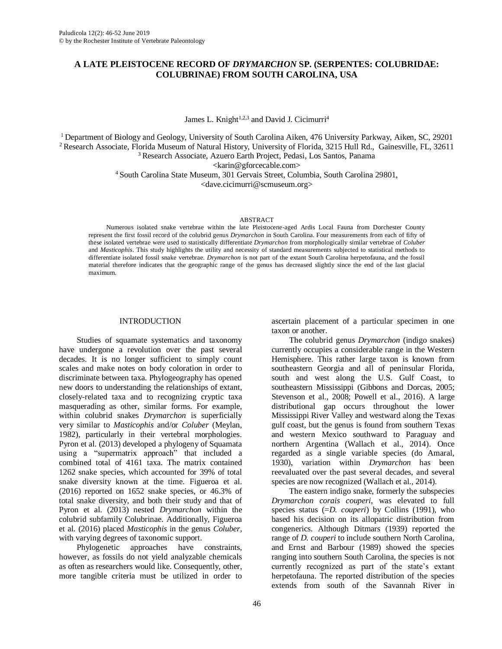## **A LATE PLEISTOCENE RECORD OF** *DRYMARCHON* **SP. (SERPENTES: COLUBRIDAE: COLUBRINAE) FROM SOUTH CAROLINA, USA**

James L. Knight<sup>1,2,3</sup> and David J. Cicimurri<sup>4</sup>

<sup>1</sup> Department of Biology and Geology, University of South Carolina Aiken, 476 University Parkway, Aiken, SC, 29201 <sup>2</sup> Research Associate, Florida Museum of Natural History, University of Florida, 3215 Hull Rd., Gainesville, FL, 32611

<sup>3</sup> Research Associate, Azuero Earth Project, Pedasi, Los Santos, Panama

<karin@gforcecable.com>

<sup>4</sup> South Carolina State Museum, 301 Gervais Street, Columbia, South Carolina 29801,

<dave.cicimurri@scmuseum.org>

#### ABSTRACT

Numerous isolated snake vertebrae within the late Pleistocene-aged Ardis Local Fauna from Dorchester County represent the first fossil record of the colubrid genus *Drymarchon* in South Carolina. Four measurements from each of fifty of these isolated vertebrae were used to statistically differentiate *Drymarchon* from morphologically similar vertebrae of *Coluber* and *Masticophis*. This study highlights the utility and necessity of standard measurements subjected to statistical methods to differentiate isolated fossil snake vertebrae. *Drymarchon* is not part of the extant South Carolina herpetofauna, and the fossil material therefore indicates that the geographic range of the genus has decreased slightly since the end of the last glacial maximum.

#### INTRODUCTION

Studies of squamate systematics and taxonomy have undergone a revolution over the past several decades. It is no longer sufficient to simply count scales and make notes on body coloration in order to discriminate between taxa. Phylogeography has opened new doors to understanding the relationships of extant, closely-related taxa and to recognizing cryptic taxa masquerading as other, similar forms. For example, within colubrid snakes *Drymarchon* is superficially very similar to *Masticophis* and/or *Coluber* (Meylan, 1982), particularly in their vertebral morphologies. Pyron et al. (2013) developed a phylogeny of Squamata using a "supermatrix approach" that included a combined total of 4161 taxa. The matrix contained 1262 snake species, which accounted for 39% of total snake diversity known at the time. Figueroa et al. (2016) reported on 1652 snake species, or 46.3% of total snake diversity, and both their study and that of Pyron et al. (2013) nested *Drymarchon* within the colubrid subfamily Colubrinae. Additionally, Figueroa et al. (2016) placed *Masticophis* in the genus *Coluber*, with varying degrees of taxonomic support.

Phylogenetic approaches have constraints, however, as fossils do not yield analyzable chemicals as often as researchers would like. Consequently, other, more tangible criteria must be utilized in order to

ascertain placement of a particular specimen in one taxon or another.

The colubrid genus *Drymarchon* (indigo snakes) currently occupies a considerable range in the Western Hemisphere. This rather large taxon is known from southeastern Georgia and all of peninsular Florida, south and west along the U.S. Gulf Coast, to southeastern Mississippi (Gibbons and Dorcas, 2005; Stevenson et al., 2008; Powell et al., 2016). A large distributional gap occurs throughout the lower Mississippi River Valley and westward along the Texas gulf coast, but the genus is found from southern Texas and western Mexico southward to Paraguay and northern Argentina (Wallach et al., 2014). Once regarded as a single variable species (do Amaral, 1930), variation within *Drymarchon* has been reevaluated over the past several decades, and several species are now recognized (Wallach et al., 2014).

The eastern indigo snake, formerly the subspecies *Drymarchon corais couperi*, was elevated to full species status (=D. *couperi*) by Collins (1991), who based his decision on its allopatric distribution from congenerics. Although Ditmars (1939) reported the range of *D. couperi* to include southern North Carolina, and Ernst and Barbour (1989) showed the species ranging into southern South Carolina, the species is not currently recognized as part of the state's extant herpetofauna. The reported distribution of the species extends from south of the Savannah River in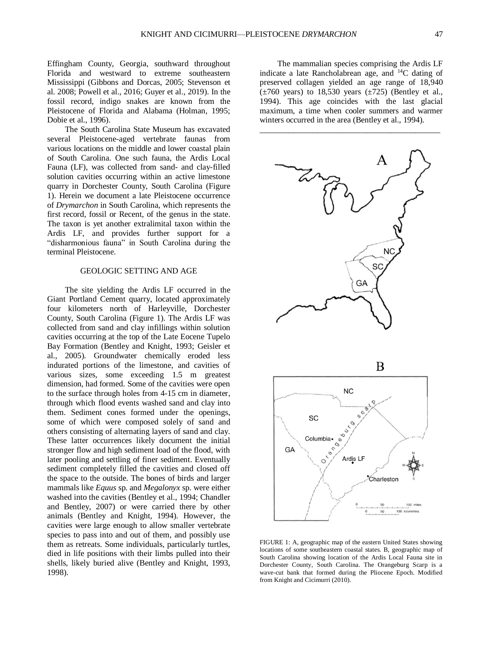Effingham County, Georgia, southward throughout Florida and westward to extreme southeastern Mississippi (Gibbons and Dorcas, 2005; Stevenson et al. 2008; Powell et al., 2016; Guyer et al., 2019). In the fossil record, indigo snakes are known from the Pleistocene of Florida and Alabama (Holman, 1995; Dobie et al., 1996).

The South Carolina State Museum has excavated several Pleistocene-aged vertebrate faunas from various locations on the middle and lower coastal plain of South Carolina. One such fauna, the Ardis Local Fauna (LF), was collected from sand- and clay-filled solution cavities occurring within an active limestone quarry in Dorchester County, South Carolina (Figure 1). Herein we document a late Pleistocene occurrence of *Drymarchon* in South Carolina, which represents the first record, fossil or Recent, of the genus in the state. The taxon is yet another extralimital taxon within the Ardis LF, and provides further support for a "disharmonious fauna" in South Carolina during the terminal Pleistocene.

### GEOLOGIC SETTING AND AGE

The site yielding the Ardis LF occurred in the Giant Portland Cement quarry, located approximately four kilometers north of Harleyville, Dorchester County, South Carolina (Figure 1). The Ardis LF was collected from sand and clay infillings within solution cavities occurring at the top of the Late Eocene Tupelo Bay Formation (Bentley and Knight, 1993; Geisler et al., 2005). Groundwater chemically eroded less indurated portions of the limestone, and cavities of various sizes, some exceeding 1.5 m greatest dimension, had formed. Some of the cavities were open to the surface through holes from 4-15 cm in diameter, through which flood events washed sand and clay into them. Sediment cones formed under the openings, some of which were composed solely of sand and others consisting of alternating layers of sand and clay. These latter occurrences likely document the initial stronger flow and high sediment load of the flood, with later pooling and settling of finer sediment. Eventually sediment completely filled the cavities and closed off the space to the outside. The bones of birds and larger mammals like *Equus* sp. and *Megalonyx* sp. were either washed into the cavities (Bentley et al., 1994; Chandler and Bentley, 2007) or were carried there by other animals (Bentley and Knight, 1994). However, the cavities were large enough to allow smaller vertebrate species to pass into and out of them, and possibly use them as retreats. Some individuals, particularly turtles, died in life positions with their limbs pulled into their shells, likely buried alive (Bentley and Knight, 1993, 1998).

The mammalian species comprising the Ardis LF indicate a late Rancholabrean age, and <sup>14</sup>C dating of preserved collagen yielded an age range of 18,940  $(\pm 760 \text{ years})$  to 18,530 years  $(\pm 725)$  (Bentley et al., 1994). This age coincides with the last glacial maximum, a time when cooler summers and warmer winters occurred in the area (Bentley et al., 1994).



FIGURE 1: A, geographic map of the eastern United States showing locations of some southeastern coastal states. B, geographic map of South Carolina showing location of the Ardis Local Fauna site in Dorchester County, South Carolina. The Orangeburg Scarp is a wave-cut bank that formed during the Pliocene Epoch. Modified from Knight and Cicimurri (2010).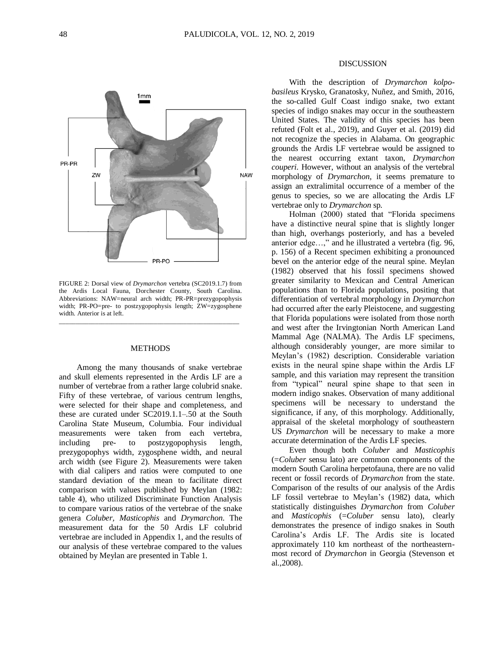

FIGURE 2: Dorsal view of *Drymarchon* vertebra (SC2019.1.7) from the Ardis Local Fauna, Dorchester County, South Carolina. Abbreviations: NAW=neural arch width; PR-PR=prezygopophysis width; PR-PO=pre- to postzygopophysis length; ZW=zygosphene width. Anterior is at left.

\_\_\_\_\_\_\_\_\_\_\_\_\_\_\_\_\_\_\_\_\_\_\_\_\_\_\_\_\_\_\_\_\_\_\_\_\_\_\_\_\_\_\_\_\_\_\_\_\_\_\_\_\_\_\_

### **METHODS**

Among the many thousands of snake vertebrae and skull elements represented in the Ardis LF are a number of vertebrae from a rather large colubrid snake. Fifty of these vertebrae, of various centrum lengths, were selected for their shape and completeness, and these are curated under SC2019.1.1–.50 at the South Carolina State Museum, Columbia. Four individual measurements were taken from each vertebra, including pre- to postzygopophysis length, prezygopophys width, zygosphene width, and neural arch width (see Figure 2). Measurements were taken with dial calipers and ratios were computed to one standard deviation of the mean to facilitate direct comparison with values published by Meylan (1982: table 4), who utilized Discriminate Function Analysis to compare various ratios of the vertebrae of the snake genera *Coluber, Masticophis* and *Drymarchon*. The measurement data for the 50 Ardis LF colubrid vertebrae are included in Appendix 1, and the results of our analysis of these vertebrae compared to the values obtained by Meylan are presented in Table 1.

### DISCUSSION

With the description of *Drymarchon kolpobasileus* Krysko, Granatosky, Nuñez, and Smith, 2016, the so-called Gulf Coast indigo snake, two extant species of indigo snakes may occur in the southeastern United States. The validity of this species has been refuted (Folt et al., 2019), and Guyer et al. (2019) did not recognize the species in Alabama. On geographic grounds the Ardis LF vertebrae would be assigned to the nearest occurring extant taxon, *Drymarchon couperi.* However, without an analysis of the vertebral morphology of *Drymarchon*, it seems premature to assign an extralimital occurrence of a member of the genus to species, so we are allocating the Ardis LF vertebrae only to *Drymarchon* sp.

Holman (2000) stated that "Florida specimens have a distinctive neural spine that is slightly longer than high, overhangs posteriorly, and has a beveled anterior edge…," and he illustrated a vertebra (fig. 96, p. 156) of a Recent specimen exhibiting a pronounced bevel on the anterior edge of the neural spine. Meylan (1982) observed that his fossil specimens showed greater similarity to Mexican and Central American populations than to Florida populations, positing that differentiation of vertebral morphology in *Drymarchon*  had occurred after the early Pleistocene, and suggesting that Florida populations were isolated from those north and west after the Irvingtonian North American Land Mammal Age (NALMA). The Ardis LF specimens, although considerably younger, are more similar to Meylan's (1982) description. Considerable variation exists in the neural spine shape within the Ardis LF sample, and this variation may represent the transition from "typical" neural spine shape to that seen in modern indigo snakes. Observation of many additional specimens will be necessary to understand the significance, if any, of this morphology. Additionally, appraisal of the skeletal morphology of southeastern US *Drymarchon* will be necessary to make a more accurate determination of the Ardis LF species.

Even though both *Coluber* and *Masticophis*  (=*Coluber* sensu lato) are common components of the modern South Carolina herpetofauna, there are no valid recent or fossil records of *Drymarchon* from the state. Comparison of the results of our analysis of the Ardis LF fossil vertebrae to Meylan's (1982) data, which statistically distinguishes *Drymarchon* from *Coluber* and *Masticophis* (=Coluber sensu lato), clearly demonstrates the presence of indigo snakes in South Carolina's Ardis LF. The Ardis site is located approximately 110 km northeast of the northeasternmost record of *Drymarchon* in Georgia (Stevenson et al.,2008).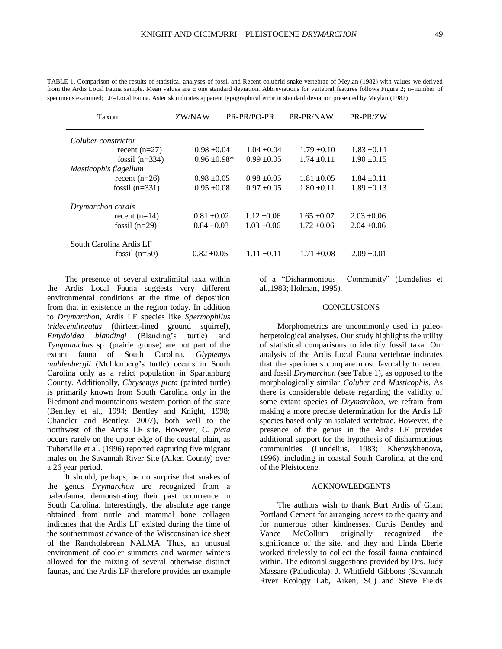| Taxon                   | ZW/NAW           | PR-PR/PO-PR     | PR-PR/NAW       | PR-PR/ZW        |  |  |
|-------------------------|------------------|-----------------|-----------------|-----------------|--|--|
|                         |                  |                 |                 |                 |  |  |
| Coluber constrictor     |                  |                 |                 |                 |  |  |
| recent $(n=27)$         | $0.98 \pm 0.04$  | $1.04 \pm 0.04$ | $1.79 \pm 0.10$ | $1.83 \pm 0.11$ |  |  |
| fossil $(n=334)$        | $0.96 \pm 0.98*$ | $0.99 \pm 0.05$ | $1.74 \pm 0.11$ | $1.90 \pm 0.15$ |  |  |
| Masticophis flagellum   |                  |                 |                 |                 |  |  |
| recent $(n=26)$         | $0.98 \pm 0.05$  | $0.98 \pm 0.05$ | $1.81 \pm 0.05$ | $1.84 \pm 0.11$ |  |  |
| fossil $(n=331)$        | $0.95 \pm 0.08$  | $0.97 \pm 0.05$ | $1.80 \pm 0.11$ | $1.89 \pm 0.13$ |  |  |
| Drymarchon corais       |                  |                 |                 |                 |  |  |
| recent $(n=14)$         | $0.81 \pm 0.02$  | $1.12 \pm 0.06$ | $1.65 \pm 0.07$ | $2.03 \pm 0.06$ |  |  |
| fossil $(n=29)$         | $0.84 \pm 0.03$  | $1.03 \pm 0.06$ | $1.72 \pm 0.06$ | $2.04 \pm 0.06$ |  |  |
| South Carolina Ardis LF |                  |                 |                 |                 |  |  |
| fossil $(n=50)$         | $0.82 \pm 0.05$  | $1.11 \pm 0.11$ | $1.71 \pm 0.08$ | $2.09 \pm 0.01$ |  |  |

TABLE 1. Comparison of the results of statistical analyses of fossil and Recent colubrid snake vertebrae of Meylan (1982) with values we derived from the Ardis Local Fauna sample. Mean values are ± one standard deviation. Abbreviations for vertebral features follows Figure 2; n=number of specimens examined; LF=Local Fauna. Asterisk indicates apparent typographical error in standard deviation presented by Meylan (1982).

The presence of several extralimital taxa within the Ardis Local Fauna suggests very different environmental conditions at the time of deposition from that in existence in the region today. In addition to *Drymarchon*, Ardis LF species like *Spermophilus tridecemlineatus* (thirteen-lined ground squirrel), *Emydoidea blandingi* (Blanding's turtle) and *Tympanuchus* sp. (prairie grouse) are not part of the extant fauna of South Carolina. *Glyptemys muhlenbergii* (Muhlenberg's turtle) occurs in South Carolina only as a relict population in Spartanburg County. Additionally, *Chrysemys picta* (painted turtle) is primarily known from South Carolina only in the Piedmont and mountainous western portion of the state (Bentley et al., 1994; Bentley and Knight, 1998; Chandler and Bentley, 2007), both well to the northwest of the Ardis LF site. However, *C. picta* occurs rarely on the upper edge of the coastal plain, as Tuberville et al. (1996) reported capturing five migrant males on the Savannah River Site (Aiken County) over a 26 year period.

It should, perhaps, be no surprise that snakes of the genus *Drymarchon* are recognized from a paleofauna, demonstrating their past occurrence in South Carolina. Interestingly, the absolute age range obtained from turtle and mammal bone collagen indicates that the Ardis LF existed during the time of the southernmost advance of the Wisconsinan ice sheet of the Rancholabrean NALMA. Thus, an unusual environment of cooler summers and warmer winters allowed for the mixing of several otherwise distinct faunas, and the Ardis LF therefore provides an example

of a "Disharmonious Community" (Lundelius et al.,1983; Holman, 1995).

### **CONCLUSIONS**

Morphometrics are uncommonly used in paleoherpetological analyses. Our study highlights the utility of statistical comparisons to identify fossil taxa. Our analysis of the Ardis Local Fauna vertebrae indicates that the specimens compare most favorably to recent and fossil *Drymarchon* (see Table 1), as opposed to the morphologically similar *Coluber* and *Masticophis*. As there is considerable debate regarding the validity of some extant species of *Drymarchon*, we refrain from making a more precise determination for the Ardis LF species based only on isolated vertebrae. However, the presence of the genus in the Ardis LF provides additional support for the hypothesis of disharmonious communities (Lundelius, 1983; Khenzykhenova, 1996), including in coastal South Carolina, at the end of the Pleistocene.

### ACKNOWLEDGENTS

The authors wish to thank Burt Ardis of Giant Portland Cement for arranging access to the quarry and for numerous other kindnesses. Curtis Bentley and Vance McCollum originally recognized the significance of the site, and they and Linda Eberle worked tirelessly to collect the fossil fauna contained within. The editorial suggestions provided by Drs. Judy Massare (Paludicola), J. Whitfield Gibbons (Savannah River Ecology Lab, Aiken, SC) and Steve Fields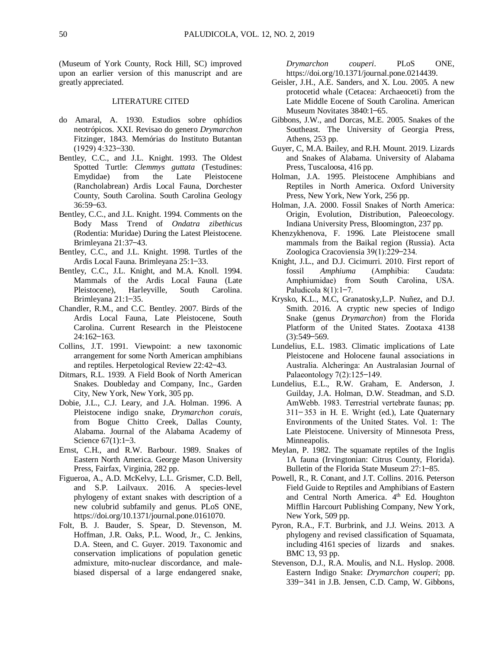(Museum of York County, Rock Hill, SC) improved upon an earlier version of this manuscript and are greatly appreciated.

### LITERATURE CITED

- do Amaral, A. 1930. Estudios sobre ophídios neotrópicos. XXI. Revisao do genero *Drymarchon*  Fitzinger, 1843. Memórias do Instituto Butantan  $(1929)$  4:323-330.
- Bentley, C.C., and J.L. Knight. 1993. The Oldest Spotted Turtle: *Clemmys guttata* (Testudines: Emydidae) from the Late Pleistocene (Rancholabrean) Ardis Local Fauna, Dorchester County, South Carolina. South Carolina Geology  $36:59 - 63.$
- Bentley, C.C., and J.L. Knight. 1994. Comments on the Body Mass Trend of *Ondatra zibethicus*  (Rodentia: Muridae) During the Latest Pleistocene. Brimleyana 21:37–43.
- Bentley, C.C., and J.L. Knight. 1998. Turtles of the Ardis Local Fauna. Brimleyana 25:1-33.
- Bentley, C.C., J.L. Knight, and M.A. Knoll. 1994. Mammals of the Ardis Local Fauna (Late Pleistocene), Harleyville, South Carolina. Brimleyana 21:1-35.
- Chandler, R.M., and C.C. Bentley. 2007. Birds of the Ardis Local Fauna, Late Pleistocene, South Carolina. Current Research in the Pleistocene  $24:162 - 163.$
- Collins, J.T. 1991. Viewpoint: a new taxonomic arrangement for some North American amphibians and reptiles. Herpetological Review 22:42–43.
- Ditmars, R.L. 1939. A Field Book of North American Snakes. Doubleday and Company, Inc., Garden City, New York, New York, 305 pp.
- Dobie, J.L., C.J. Leary, and J.A. Holman. 1996. A Pleistocene indigo snake, *Drymarchon corais*, from Bogue Chitto Creek, Dallas County, Alabama. Journal of the Alabama Academy of Science  $67(1):1-3$ .
- Ernst, C.H., and R.W. Barbour. 1989. Snakes of Eastern North America. George Mason University Press, Fairfax, Virginia, 282 pp.
- Figueroa, A., A.D. McKelvy, L.L. Grismer, C.D. Bell, and S.P. Lailvaux. 2016. A species-level phylogeny of extant snakes with description of a new colubrid subfamily and genus. PLoS ONE, https://doi.org/10.1371/journal.pone.0161070.
- Folt, B. J. Bauder, S. Spear, D. Stevenson, M. Hoffman, J.R. Oaks, P.L. Wood, Jr., C. Jenkins, D.A. Steen, and C. Guyer. 2019. Taxonomic and conservation implications of population genetic admixture, mito-nuclear discordance, and malebiased dispersal of a large endangered snake,

*Drymarchon couperi*. PLoS ONE, [https://doi.org/10.1371/journal.pone.0214439.](https://doi.org/10.1371/journal.pone.0214439)

- Geisler, J.H., A.E. Sanders, and X. Lou. 2005. A new protocetid whale (Cetacea: Archaeoceti) from the Late Middle Eocene of South Carolina. American Museum Novitates 3840:1–65.
- Gibbons, J.W., and Dorcas, M.E. 2005. Snakes of the Southeast. The University of Georgia Press, Athens, 253 pp.
- Guyer, C, M.A. Bailey, and R.H. Mount. 2019. Lizards and Snakes of Alabama. University of Alabama Press, Tuscaloosa, 416 pp.
- Holman, J.A. 1995. Pleistocene Amphibians and Reptiles in North America. Oxford University Press, New York, New York, 256 pp.
- Holman, J.A. 2000. Fossil Snakes of North America: Origin, Evolution, Distribution, Paleoecology. Indiana University Press, Bloomington, 237 pp.
- Khenzykhenova, F. 1996. Late Pleistocene small mammals from the Baikal region (Russia). Acta Zoologica Cracoviensia 39(1):229-234.
- Knight, J.L., and D.J. Cicimurri. 2010. First report of fossil *Amphiuma* (Amphibia: Caudata: Amphiumidae) from South Carolina, USA. Paludicola  $8(1):1-7$ .
- Krysko, K.L., M.C, Granatosky,L.P. Nuñez, and D.J. Smith. 2016. A cryptic new species of Indigo Snake (genus *Drymarchon*) from the Florida Platform of the United States. Zootaxa 4138  $(3):549 - 569.$
- Lundelius, E.L. 1983. Climatic implications of Late Pleistocene and Holocene faunal associations in Australia. Alcheringa: An Australasian Journal of Palaeontology 7(2):125-149.
- Lundelius, E.L., R.W. Graham, E. Anderson, J. Guilday, J.A. Holman, D.W. Steadman, and S.D. AmWebb. 1983. Terrestrial vertebrate faunas; pp. 311 – 353 in H. E. Wright (ed.), Late Quaternary Environments of the United States. Vol. 1: The Late Pleistocene. University of Minnesota Press, Minneapolis.
- Meylan, P. 1982. The squamate reptiles of the Inglis 1A fauna (Irvingtonian: Citrus County, Florida). Bulletin of the Florida State Museum 27:1-85.
- Powell, R., R. Conant, and J.T. Collins. 2016. Peterson Field Guide to Reptiles and Amphibians of Eastern and Central North America. 4<sup>th</sup> Ed. Houghton Mifflin Harcourt Publishing Company, New York, New York, 509 pp.
- Pyron, R.A., F.T. Burbrink, and J.J. Weins. 2013. A phylogeny and revised classification of Squamata, including 4161 species of lizards and snakes. BMC 13, 93 pp.
- Stevenson, D.J., R.A. Moulis, and N.L. Hyslop. 2008. Eastern Indigo Snake: *Drymarchon couperi*; pp. 339-341 in J.B. Jensen, C.D. Camp, W. Gibbons,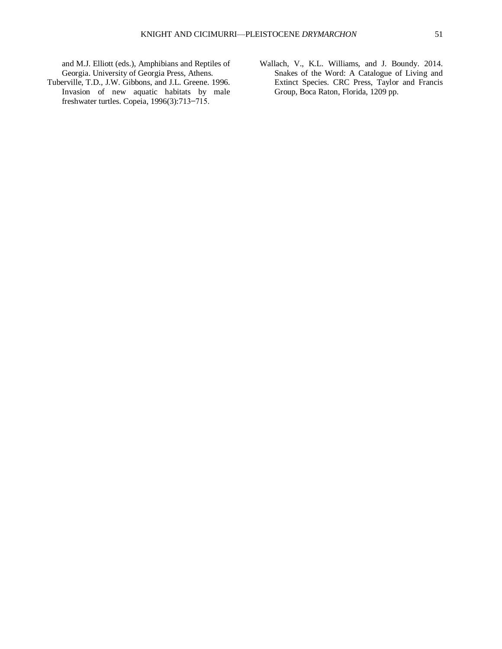and M.J. Elliott (eds.), Amphibians and Reptiles of Georgia. University of Georgia Press, Athens.

- Tuberville, T.D., J.W. Gibbons, and J.L. Greene. 1996. Invasion of new aquatic habitats by male freshwater turtles. Copeia,  $1996(3)$ :713-715.
- Wallach, V., K.L. Williams, and J. Boundy. 2014. Snakes of the Word: A Catalogue of Living and Extinct Species. CRC Press, Taylor and Francis Group, Boca Raton, Florida, 1209 pp.